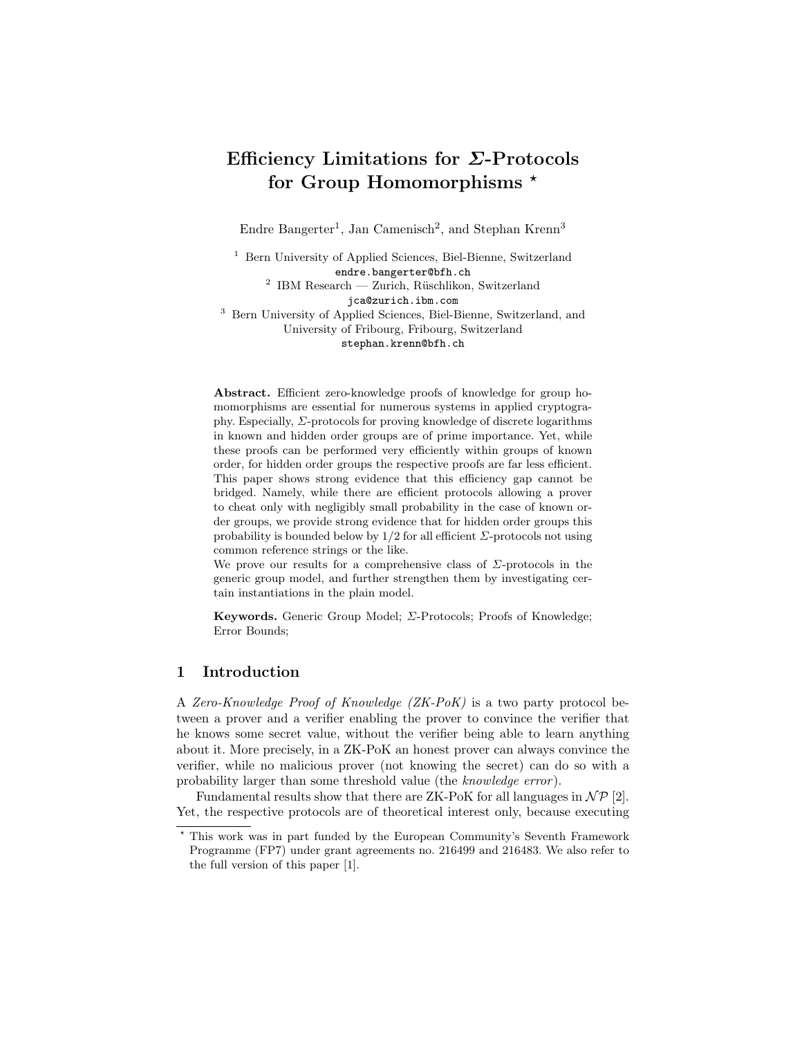# Efficiency Limitations for Σ-Protocols for Group Homomorphisms  $*$

Endre Bangerter<sup>1</sup>, Jan Camenisch<sup>2</sup>, and Stephan Krenn<sup>3</sup>

<sup>1</sup> Bern University of Applied Sciences, Biel-Bienne, Switzerland endre.bangerter@bfh.ch  $2$  IBM Research — Zurich, Rüschlikon, Switzerland jca@zurich.ibm.com <sup>3</sup> Bern University of Applied Sciences, Biel-Bienne, Switzerland, and University of Fribourg, Fribourg, Switzerland stephan.krenn@bfh.ch

Abstract. Efficient zero-knowledge proofs of knowledge for group homomorphisms are essential for numerous systems in applied cryptography. Especially,  $\Sigma$ -protocols for proving knowledge of discrete logarithms in known and hidden order groups are of prime importance. Yet, while these proofs can be performed very efficiently within groups of known order, for hidden order groups the respective proofs are far less efficient. This paper shows strong evidence that this efficiency gap cannot be bridged. Namely, while there are efficient protocols allowing a prover to cheat only with negligibly small probability in the case of known order groups, we provide strong evidence that for hidden order groups this probability is bounded below by  $1/2$  for all efficient  $\Sigma$ -protocols not using common reference strings or the like.

We prove our results for a comprehensive class of  $\Sigma$ -protocols in the generic group model, and further strengthen them by investigating certain instantiations in the plain model.

Keywords. Generic Group Model; Σ-Protocols; Proofs of Knowledge; Error Bounds;

# 1 Introduction

A Zero-Knowledge Proof of Knowledge (ZK-PoK) is a two party protocol between a prover and a verifier enabling the prover to convince the verifier that he knows some secret value, without the verifier being able to learn anything about it. More precisely, in a ZK-PoK an honest prover can always convince the verifier, while no malicious prover (not knowing the secret) can do so with a probability larger than some threshold value (the knowledge error ).

Fundamental results show that there are ZK-PoK for all languages in  $\mathcal{NP}$  [2]. Yet, the respective protocols are of theoretical interest only, because executing

<sup>?</sup> This work was in part funded by the European Community's Seventh Framework Programme (FP7) under grant agreements no. 216499 and 216483. We also refer to the full version of this paper [1].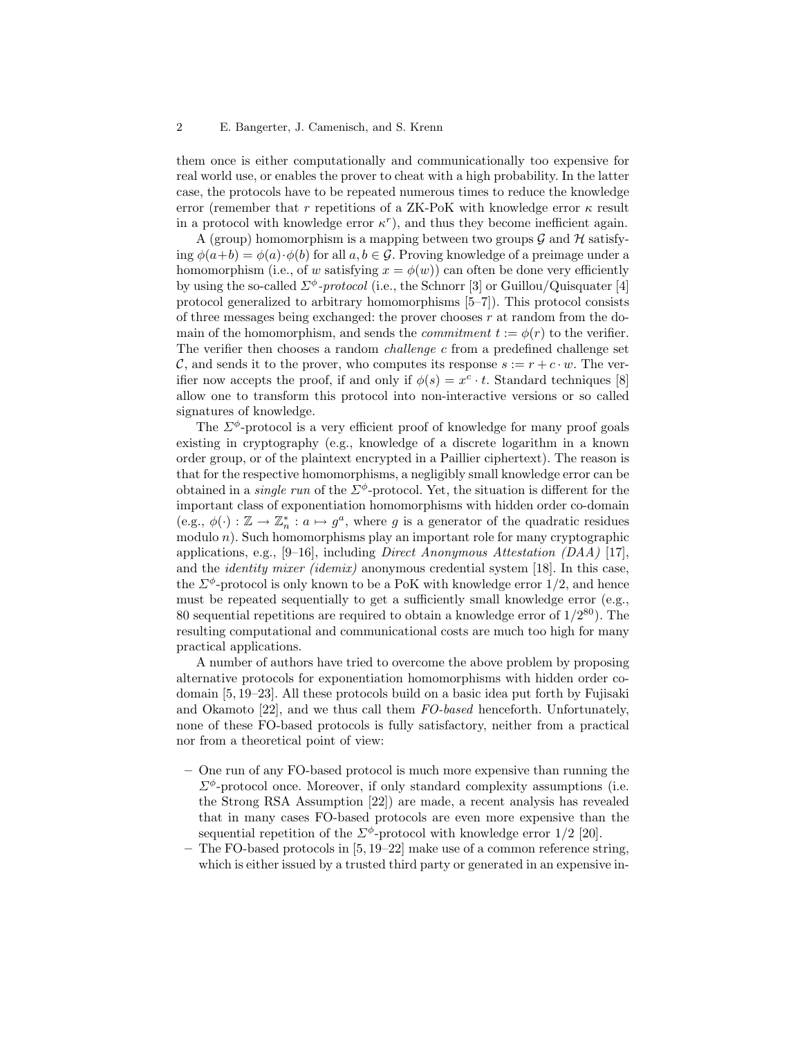them once is either computationally and communicationally too expensive for real world use, or enables the prover to cheat with a high probability. In the latter case, the protocols have to be repeated numerous times to reduce the knowledge error (remember that r repetitions of a ZK-PoK with knowledge error  $\kappa$  result in a protocol with knowledge error  $\kappa^r$ ), and thus they become inefficient again.

A (group) homomorphism is a mapping between two groups  $\mathcal G$  and  $\mathcal H$  satisfying  $\phi(a+b) = \phi(a) \cdot \phi(b)$  for all  $a, b \in \mathcal{G}$ . Proving knowledge of a preimage under a homomorphism (i.e., of w satisfying  $x = \phi(w)$ ) can often be done very efficiently by using the so-called  $\Sigma^{\phi}$ -protocol (i.e., the Schnorr [3] or Guillou/Quisquater [4] protocol generalized to arbitrary homomorphisms [5–7]). This protocol consists of three messages being exchanged: the prover chooses  $r$  at random from the domain of the homomorphism, and sends the *commitment*  $t := \phi(r)$  to the verifier. The verifier then chooses a random challenge c from a predefined challenge set C, and sends it to the prover, who computes its response  $s := r + c \cdot w$ . The verifier now accepts the proof, if and only if  $\phi(s) = x^c \cdot t$ . Standard techniques [8] allow one to transform this protocol into non-interactive versions or so called signatures of knowledge.

The  $\Sigma^{\phi}$ -protocol is a very efficient proof of knowledge for many proof goals existing in cryptography (e.g., knowledge of a discrete logarithm in a known order group, or of the plaintext encrypted in a Paillier ciphertext). The reason is that for the respective homomorphisms, a negligibly small knowledge error can be obtained in a *single run* of the  $\Sigma^{\phi}$ -protocol. Yet, the situation is different for the important class of exponentiation homomorphisms with hidden order co-domain (e.g.,  $\phi(\cdot): \mathbb{Z} \to \mathbb{Z}_n^*$ :  $a \mapsto g^a$ , where g is a generator of the quadratic residues modulo n). Such homomorphisms play an important role for many cryptographic applications, e.g., [9–16], including *Direct Anonymous Attestation (DAA)* [17], and the identity mixer (idemix) anonymous credential system [18]. In this case, the  $\Sigma^{\phi}$ -protocol is only known to be a PoK with knowledge error 1/2, and hence must be repeated sequentially to get a sufficiently small knowledge error (e.g., 80 sequential repetitions are required to obtain a knowledge error of  $1/2^{80}$ ). The resulting computational and communicational costs are much too high for many practical applications.

A number of authors have tried to overcome the above problem by proposing alternative protocols for exponentiation homomorphisms with hidden order codomain [5, 19–23]. All these protocols build on a basic idea put forth by Fujisaki and Okamoto [22], and we thus call them FO-based henceforth. Unfortunately, none of these FO-based protocols is fully satisfactory, neither from a practical nor from a theoretical point of view:

- One run of any FO-based protocol is much more expensive than running the  $\Sigma^{\phi}$ -protocol once. Moreover, if only standard complexity assumptions (i.e. the Strong RSA Assumption [22]) are made, a recent analysis has revealed that in many cases FO-based protocols are even more expensive than the sequential repetition of the  $\Sigma^{\phi}$ -protocol with knowledge error 1/2 [20].
- The FO-based protocols in [5, 19–22] make use of a common reference string, which is either issued by a trusted third party or generated in an expensive in-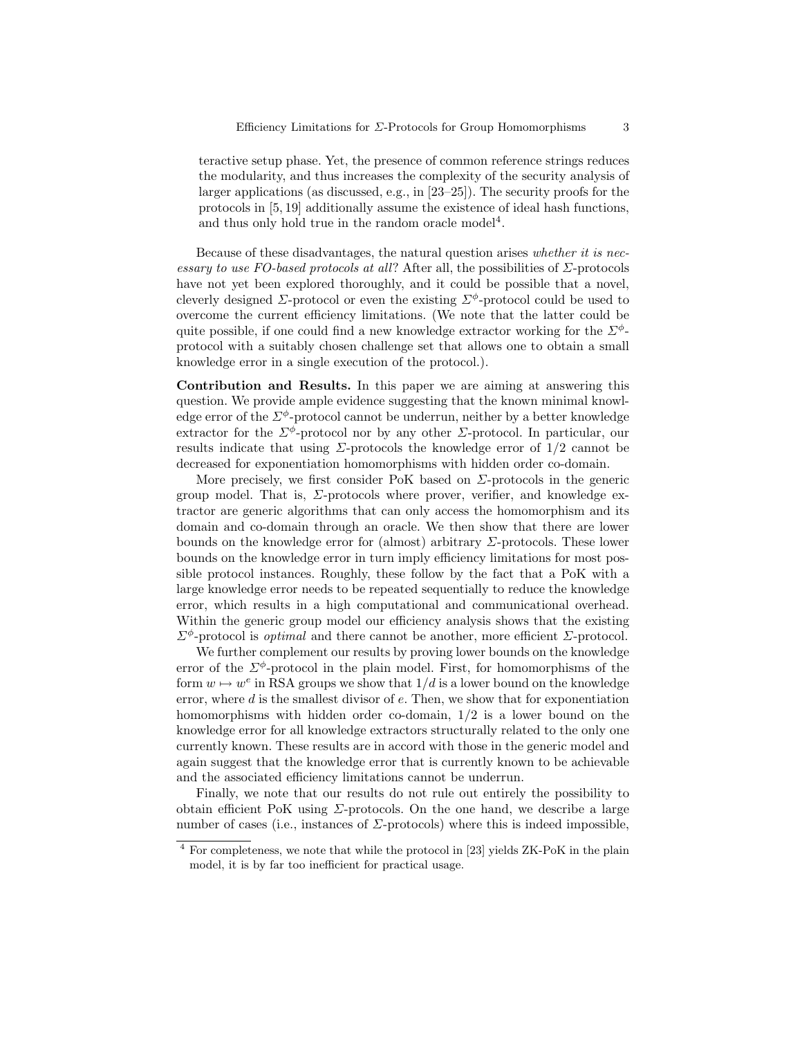teractive setup phase. Yet, the presence of common reference strings reduces the modularity, and thus increases the complexity of the security analysis of larger applications (as discussed, e.g., in [23–25]). The security proofs for the protocols in [5, 19] additionally assume the existence of ideal hash functions, and thus only hold true in the random oracle model<sup>4</sup>.

Because of these disadvantages, the natural question arises whether it is necessary to use FO-based protocols at all? After all, the possibilities of  $\Sigma$ -protocols have not yet been explored thoroughly, and it could be possible that a novel, cleverly designed  $\Sigma$ -protocol or even the existing  $\Sigma^{\phi}$ -protocol could be used to overcome the current efficiency limitations. (We note that the latter could be quite possible, if one could find a new knowledge extractor working for the  $\Sigma^{\phi}$ protocol with a suitably chosen challenge set that allows one to obtain a small knowledge error in a single execution of the protocol.).

Contribution and Results. In this paper we are aiming at answering this question. We provide ample evidence suggesting that the known minimal knowledge error of the  $\Sigma^{\phi}$ -protocol cannot be underrun, neither by a better knowledge extractor for the  $\Sigma^{\phi}$ -protocol nor by any other  $\Sigma$ -protocol. In particular, our results indicate that using  $\Sigma$ -protocols the knowledge error of  $1/2$  cannot be decreased for exponentiation homomorphisms with hidden order co-domain.

More precisely, we first consider PoK based on  $\Sigma$ -protocols in the generic group model. That is,  $\Sigma$ -protocols where prover, verifier, and knowledge extractor are generic algorithms that can only access the homomorphism and its domain and co-domain through an oracle. We then show that there are lower bounds on the knowledge error for (almost) arbitrary  $\Sigma$ -protocols. These lower bounds on the knowledge error in turn imply efficiency limitations for most possible protocol instances. Roughly, these follow by the fact that a PoK with a large knowledge error needs to be repeated sequentially to reduce the knowledge error, which results in a high computational and communicational overhead. Within the generic group model our efficiency analysis shows that the existing  $\Sigma^{\phi}$ -protocol is *optimal* and there cannot be another, more efficient  $\Sigma$ -protocol.

We further complement our results by proving lower bounds on the knowledge error of the  $\Sigma^{\phi}$ -protocol in the plain model. First, for homomorphisms of the form  $w \mapsto w^e$  in RSA groups we show that  $1/d$  is a lower bound on the knowledge error, where  $d$  is the smallest divisor of  $e$ . Then, we show that for exponentiation homomorphisms with hidden order co-domain, 1/2 is a lower bound on the knowledge error for all knowledge extractors structurally related to the only one currently known. These results are in accord with those in the generic model and again suggest that the knowledge error that is currently known to be achievable and the associated efficiency limitations cannot be underrun.

Finally, we note that our results do not rule out entirely the possibility to obtain efficient PoK using  $\Sigma$ -protocols. On the one hand, we describe a large number of cases (i.e., instances of  $\Sigma$ -protocols) where this is indeed impossible,

<sup>4</sup> For completeness, we note that while the protocol in [23] yields ZK-PoK in the plain model, it is by far too inefficient for practical usage.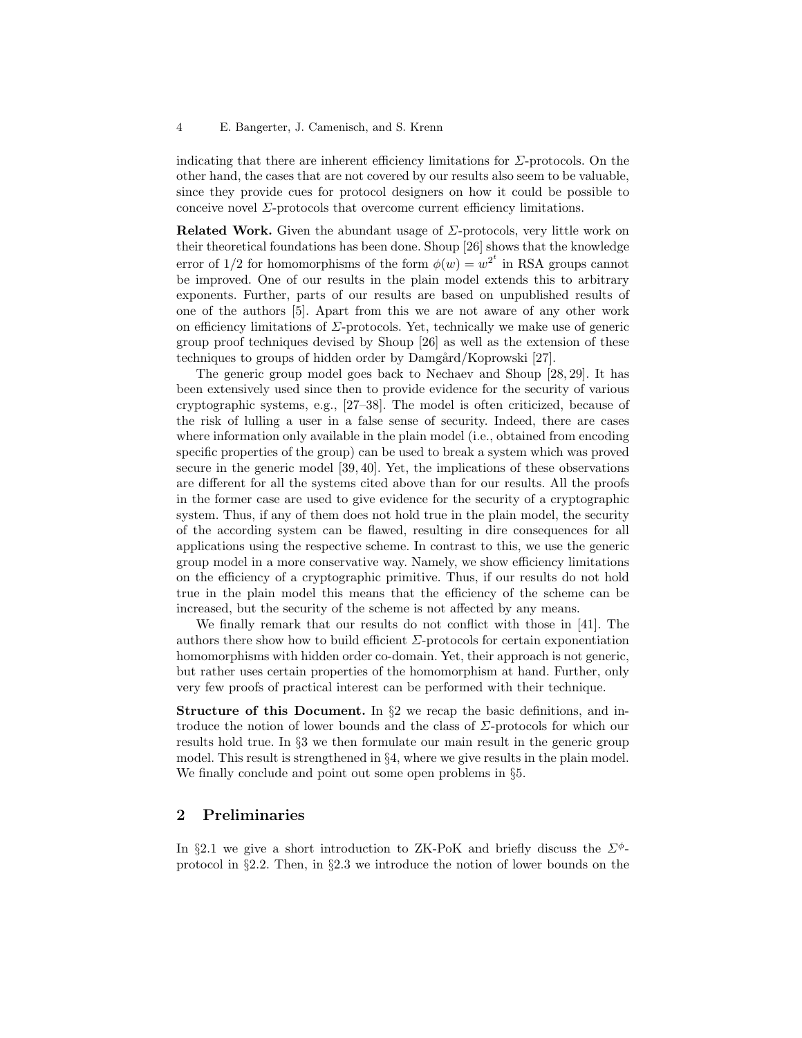indicating that there are inherent efficiency limitations for  $\Sigma$ -protocols. On the other hand, the cases that are not covered by our results also seem to be valuable, since they provide cues for protocol designers on how it could be possible to conceive novel  $\Sigma$ -protocols that overcome current efficiency limitations.

Related Work. Given the abundant usage of  $\Sigma$ -protocols, very little work on their theoretical foundations has been done. Shoup [26] shows that the knowledge error of 1/2 for homomorphisms of the form  $\phi(w) = w^{2^t}$  in RSA groups cannot be improved. One of our results in the plain model extends this to arbitrary exponents. Further, parts of our results are based on unpublished results of one of the authors [5]. Apart from this we are not aware of any other work on efficiency limitations of  $\Sigma$ -protocols. Yet, technically we make use of generic group proof techniques devised by Shoup [26] as well as the extension of these techniques to groups of hidden order by Damgård/Koprowski [27].

The generic group model goes back to Nechaev and Shoup [28, 29]. It has been extensively used since then to provide evidence for the security of various cryptographic systems, e.g., [27–38]. The model is often criticized, because of the risk of lulling a user in a false sense of security. Indeed, there are cases where information only available in the plain model (i.e., obtained from encoding specific properties of the group) can be used to break a system which was proved secure in the generic model [39, 40]. Yet, the implications of these observations are different for all the systems cited above than for our results. All the proofs in the former case are used to give evidence for the security of a cryptographic system. Thus, if any of them does not hold true in the plain model, the security of the according system can be flawed, resulting in dire consequences for all applications using the respective scheme. In contrast to this, we use the generic group model in a more conservative way. Namely, we show efficiency limitations on the efficiency of a cryptographic primitive. Thus, if our results do not hold true in the plain model this means that the efficiency of the scheme can be increased, but the security of the scheme is not affected by any means.

We finally remark that our results do not conflict with those in [41]. The authors there show how to build efficient  $\Sigma$ -protocols for certain exponentiation homomorphisms with hidden order co-domain. Yet, their approach is not generic, but rather uses certain properties of the homomorphism at hand. Further, only very few proofs of practical interest can be performed with their technique.

Structure of this Document. In §2 we recap the basic definitions, and introduce the notion of lower bounds and the class of Σ-protocols for which our results hold true. In §3 we then formulate our main result in the generic group model. This result is strengthened in  $\S 4$ , where we give results in the plain model. We finally conclude and point out some open problems in §5.

# 2 Preliminaries

In §2.1 we give a short introduction to ZK-PoK and briefly discuss the  $\Sigma^{\phi}$ protocol in §2.2. Then, in §2.3 we introduce the notion of lower bounds on the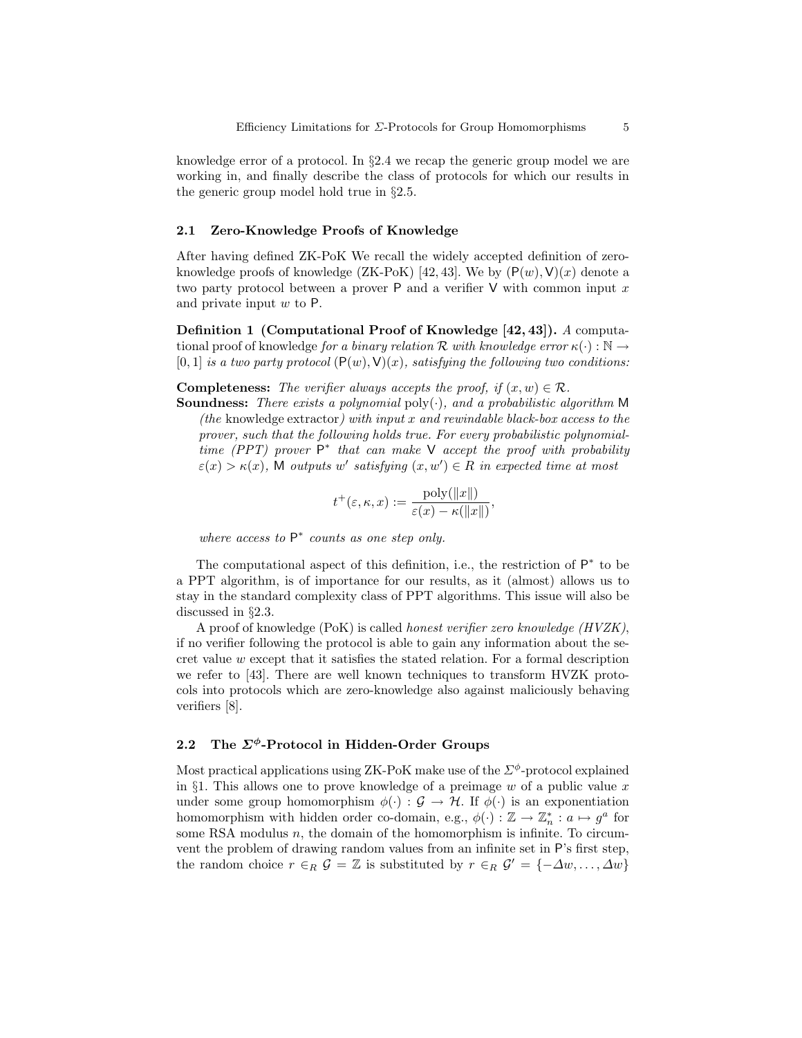knowledge error of a protocol. In §2.4 we recap the generic group model we are working in, and finally describe the class of protocols for which our results in the generic group model hold true in §2.5.

#### 2.1 Zero-Knowledge Proofs of Knowledge

After having defined ZK-PoK We recall the widely accepted definition of zeroknowledge proofs of knowledge (ZK-PoK) [42, 43]. We by  $(P(w), V)(x)$  denote a two party protocol between a prover  $P$  and a verifier  $V$  with common input x and private input  $w$  to  $P$ .

Definition 1 (Computational Proof of Knowledge [42, 43]). A computational proof of knowledge for a binary relation R with knowledge error  $\kappa(\cdot): \mathbb{N} \to$  $[0, 1]$  is a two party protocol  $(P(w), V)(x)$ , satisfying the following two conditions:

**Completeness:** The verifier always accepts the proof, if  $(x, w) \in \mathcal{R}$ .

**Soundness:** There exists a polynomial  $\text{poly}(\cdot)$ , and a probabilistic algorithm M (the knowledge extractor) with input  $x$  and rewindable black-box access to the prover, such that the following holds true. For every probabilistic polynomialtime (PPT) prover  $P^*$  that can make V accept the proof with probability  $\varepsilon(x) > \kappa(x)$ , M outputs w' satisfying  $(x, w') \in R$  in expected time at most

$$
t^+(\varepsilon,\kappa,x) := \frac{\text{poly}(\|x\|)}{\varepsilon(x) - \kappa(\|x\|)},
$$

where access to  $P^*$  counts as one step only.

The computational aspect of this definition, i.e., the restriction of  $P^*$  to be a PPT algorithm, is of importance for our results, as it (almost) allows us to stay in the standard complexity class of PPT algorithms. This issue will also be discussed in §2.3.

A proof of knowledge (PoK) is called honest verifier zero knowledge (HVZK), if no verifier following the protocol is able to gain any information about the secret value w except that it satisfies the stated relation. For a formal description we refer to [43]. There are well known techniques to transform HVZK protocols into protocols which are zero-knowledge also against maliciously behaving verifiers [8].

# 2.2 The  $\Sigma^{\phi}$ -Protocol in Hidden-Order Groups

Most practical applications using  $ZK-PoK$  make use of the  $\Sigma^{\phi}$ -protocol explained in §1. This allows one to prove knowledge of a preimage  $w$  of a public value  $x$ under some group homomorphism  $\phi(\cdot) : \mathcal{G} \to \mathcal{H}$ . If  $\phi(\cdot)$  is an exponentiation homomorphism with hidden order co-domain, e.g.,  $\phi(\cdot) : \mathbb{Z} \to \mathbb{Z}_n^* : a \mapsto g^a$  for some RSA modulus  $n$ , the domain of the homomorphism is infinite. To circumvent the problem of drawing random values from an infinite set in P's first step, the random choice  $r \in_R \mathcal{G} = \mathbb{Z}$  is substituted by  $r \in_R \mathcal{G}' = \{-\Delta w, \ldots, \Delta w\}$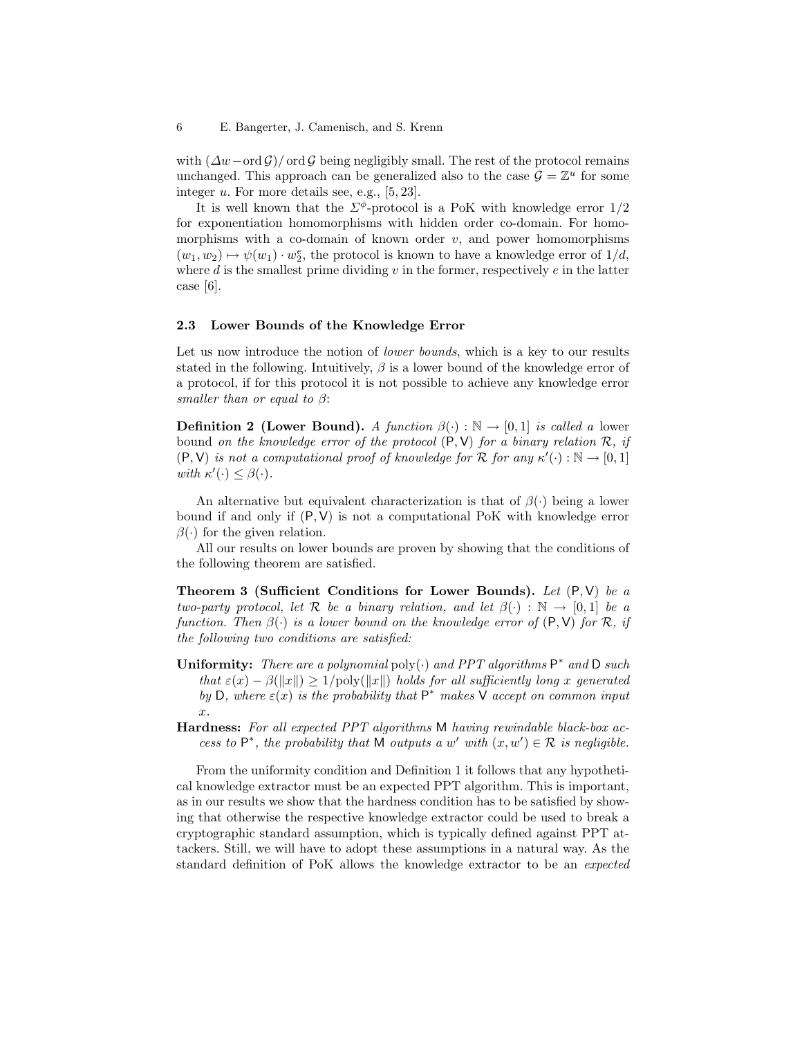with  $(\Delta w - \text{ord } \mathcal{G})/\text{ord } \mathcal{G}$  being negligibly small. The rest of the protocol remains unchanged. This approach can be generalized also to the case  $\mathcal{G} = \mathbb{Z}^u$  for some integer u. For more details see, e.g., [5, 23].

It is well known that the  $\Sigma^{\phi}$ -protocol is a PoK with knowledge error  $1/2$ for exponentiation homomorphisms with hidden order co-domain. For homomorphisms with a co-domain of known order  $v$ , and power homomorphisms  $(w_1, w_2) \mapsto \psi(w_1) \cdot w_2^e$ , the protocol is known to have a knowledge error of  $1/d$ , where d is the smallest prime dividing  $v$  in the former, respectively  $e$  in the latter case [6].

#### 2.3 Lower Bounds of the Knowledge Error

Let us now introduce the notion of *lower bounds*, which is a key to our results stated in the following. Intuitively,  $\beta$  is a lower bound of the knowledge error of a protocol, if for this protocol it is not possible to achieve any knowledge error smaller than or equal to  $\beta$ :

**Definition 2 (Lower Bound).** A function  $\beta(\cdot) : \mathbb{N} \to [0,1]$  is called a lower bound on the knowledge error of the protocol  $(P, V)$  for a binary relation  $\mathcal{R}$ , if  $(P, V)$  is not a computational proof of knowledge for R for any  $\kappa'(\cdot): \mathbb{N} \to [0, 1]$ with  $\kappa'(\cdot) \leq \beta(\cdot)$ .

An alternative but equivalent characterization is that of  $\beta(\cdot)$  being a lower bound if and only if  $(P, V)$  is not a computational PoK with knowledge error  $\beta(\cdot)$  for the given relation.

All our results on lower bounds are proven by showing that the conditions of the following theorem are satisfied.

Theorem 3 (Sufficient Conditions for Lower Bounds). Let  $(P, V)$  be a two-party protocol, let R be a binary relation, and let  $\beta(\cdot) : \mathbb{N} \to [0,1]$  be a function. Then  $\beta(\cdot)$  is a lower bound on the knowledge error of  $(P, V)$  for R, if the following two conditions are satisfied:

- Uniformity: There are a polynomial poly( $\cdot$ ) and PPT algorithms  $P^*$  and D such that  $\varepsilon(x) - \beta(||x||) \geq 1/\text{poly}(||x||)$  holds for all sufficiently long x generated by D, where  $\varepsilon(x)$  is the probability that  $P^*$  makes  $\check{V}$  accept on common input  $\hat{r}$ .
- Hardness: For all expected PPT algorithms M having rewindable black-box access to  $P^*$ , the probability that M outputs a w' with  $(x, w') \in \mathcal{R}$  is negligible.

From the uniformity condition and Definition 1 it follows that any hypothetical knowledge extractor must be an expected PPT algorithm. This is important, as in our results we show that the hardness condition has to be satisfied by showing that otherwise the respective knowledge extractor could be used to break a cryptographic standard assumption, which is typically defined against PPT attackers. Still, we will have to adopt these assumptions in a natural way. As the standard definition of PoK allows the knowledge extractor to be an expected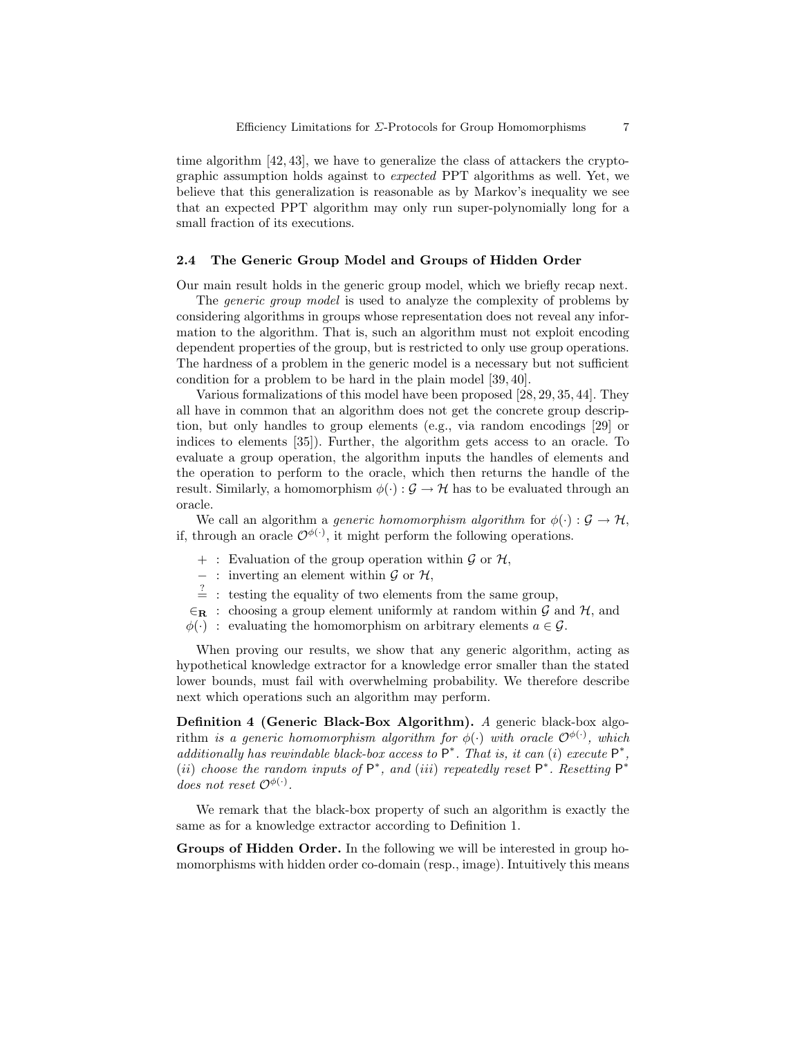time algorithm [42, 43], we have to generalize the class of attackers the cryptographic assumption holds against to expected PPT algorithms as well. Yet, we believe that this generalization is reasonable as by Markov's inequality we see that an expected PPT algorithm may only run super-polynomially long for a small fraction of its executions.

#### 2.4 The Generic Group Model and Groups of Hidden Order

Our main result holds in the generic group model, which we briefly recap next.

The *generic group model* is used to analyze the complexity of problems by considering algorithms in groups whose representation does not reveal any information to the algorithm. That is, such an algorithm must not exploit encoding dependent properties of the group, but is restricted to only use group operations. The hardness of a problem in the generic model is a necessary but not sufficient condition for a problem to be hard in the plain model [39, 40].

Various formalizations of this model have been proposed [28, 29, 35, 44]. They all have in common that an algorithm does not get the concrete group description, but only handles to group elements (e.g., via random encodings [29] or indices to elements [35]). Further, the algorithm gets access to an oracle. To evaluate a group operation, the algorithm inputs the handles of elements and the operation to perform to the oracle, which then returns the handle of the result. Similarly, a homomorphism  $\phi(\cdot) : \mathcal{G} \to \mathcal{H}$  has to be evaluated through an oracle.

We call an algorithm a *generic homomorphism algorithm* for  $\phi(\cdot) : \mathcal{G} \to \mathcal{H}$ , if, through an oracle  $\mathcal{O}^{\phi(\cdot)}$ , it might perform the following operations.

- $+$ : Evaluation of the group operation within  $\mathcal G$  or  $\mathcal H$ ,
- $-$ : inverting an element within  $\mathcal G$  or  $\mathcal H$ ,
- $\frac{?}{=}$ : testing the equality of two elements from the same group,
- $\epsilon_R$ : choosing a group element uniformly at random within G and H, and
- $\phi(\cdot)$ : evaluating the homomorphism on arbitrary elements  $a \in \mathcal{G}$ .

When proving our results, we show that any generic algorithm, acting as hypothetical knowledge extractor for a knowledge error smaller than the stated lower bounds, must fail with overwhelming probability. We therefore describe next which operations such an algorithm may perform.

Definition 4 (Generic Black-Box Algorithm). A generic black-box algorithm is a generic homomorphism algorithm for  $\phi(\cdot)$  with oracle  $\mathcal{O}^{\phi(\cdot)}$ , which additionally has rewindable black-box access to  $P^*$ . That is, it can (i) execute  $P^*$ , (ii) choose the random inputs of  $P^*$ , and (iii) repeatedly reset  $P^*$ . Resetting  $P^*$ does not reset  $\mathcal{O}^{\phi(\cdot)}$ .

We remark that the black-box property of such an algorithm is exactly the same as for a knowledge extractor according to Definition 1.

Groups of Hidden Order. In the following we will be interested in group homomorphisms with hidden order co-domain (resp., image). Intuitively this means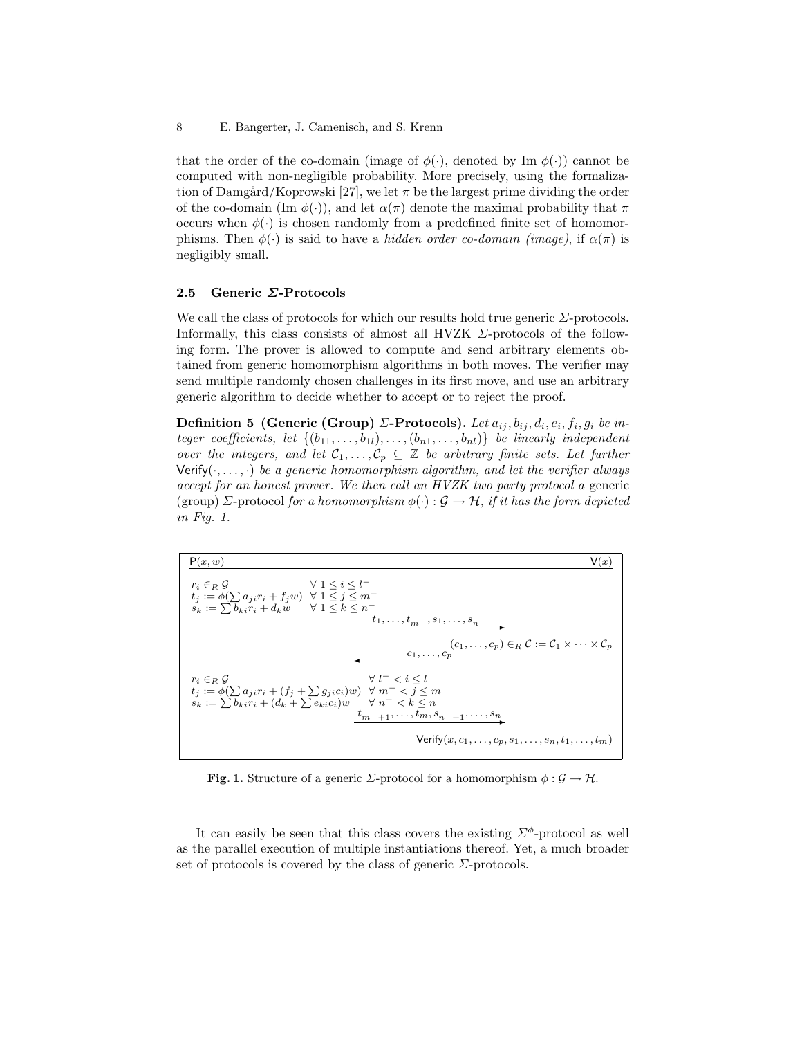8 E. Bangerter, J. Camenisch, and S. Krenn

that the order of the co-domain (image of  $\phi(\cdot)$ , denoted by Im  $\phi(\cdot)$ ) cannot be computed with non-negligible probability. More precisely, using the formalization of Damgård/Koprowski [27], we let  $\pi$  be the largest prime dividing the order of the co-domain (Im  $\phi(\cdot)$ ), and let  $\alpha(\pi)$  denote the maximal probability that  $\pi$ occurs when  $\phi(\cdot)$  is chosen randomly from a predefined finite set of homomorphisms. Then  $\phi(\cdot)$  is said to have a hidden order co-domain (image), if  $\alpha(\pi)$  is negligibly small.

#### 2.5 Generic Σ-Protocols

We call the class of protocols for which our results hold true generic  $\Sigma$ -protocols. Informally, this class consists of almost all HVZK  $\Sigma$ -protocols of the following form. The prover is allowed to compute and send arbitrary elements obtained from generic homomorphism algorithms in both moves. The verifier may send multiple randomly chosen challenges in its first move, and use an arbitrary generic algorithm to decide whether to accept or to reject the proof.

Definition 5 (Generic (Group) Σ-Protocols). Let  $a_{ij}, b_{ij}, d_i, e_i, f_i, g_i$  be integer coefficients, let  $\{(b_{11}, \ldots, b_{1l}), \ldots, (b_{n1}, \ldots, b_{nl})\}$  be linearly independent over the integers, and let  $\mathcal{C}_1, \ldots, \mathcal{C}_p \subseteq \mathbb{Z}$  be arbitrary finite sets. Let further Verify( $\cdot, \ldots, \cdot$ ) be a generic homomorphism algorithm, and let the verifier always accept for an honest prover. We then call an HVZK two party protocol a generic (group) Σ-protocol for a homomorphism  $\phi(\cdot): \mathcal{G} \to \mathcal{H}$ , if it has the form depicted in Fig. 1.



**Fig. 1.** Structure of a generic *Σ*-protocol for a homomorphism  $\phi : \mathcal{G} \to \mathcal{H}$ .

It can easily be seen that this class covers the existing  $\Sigma^{\phi}$ -protocol as well as the parallel execution of multiple instantiations thereof. Yet, a much broader set of protocols is covered by the class of generic  $\Sigma$ -protocols.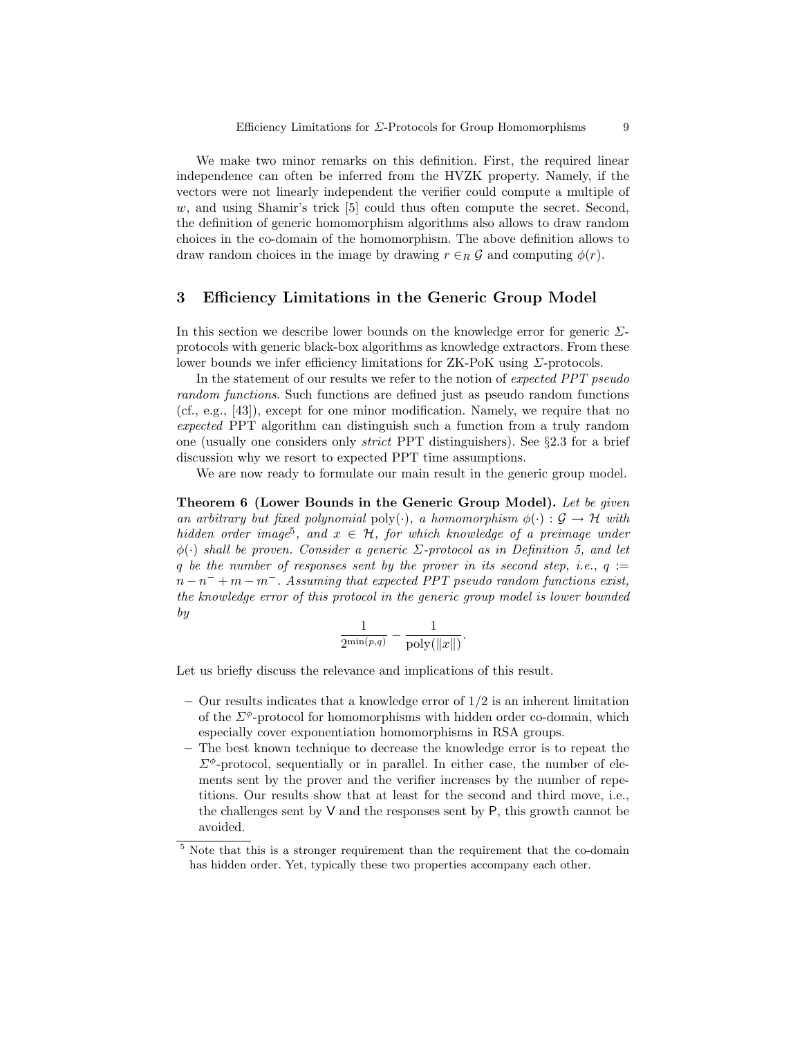We make two minor remarks on this definition. First, the required linear independence can often be inferred from the HVZK property. Namely, if the vectors were not linearly independent the verifier could compute a multiple of  $w$ , and using Shamir's trick  $[5]$  could thus often compute the secret. Second, the definition of generic homomorphism algorithms also allows to draw random choices in the co-domain of the homomorphism. The above definition allows to draw random choices in the image by drawing  $r \in_R \mathcal{G}$  and computing  $\phi(r)$ .

## 3 Efficiency Limitations in the Generic Group Model

In this section we describe lower bounds on the knowledge error for generic  $\Sigma$ protocols with generic black-box algorithms as knowledge extractors. From these lower bounds we infer efficiency limitations for  $ZK-PoK$  using  $\Sigma$ -protocols.

In the statement of our results we refer to the notion of expected PPT pseudo random functions. Such functions are defined just as pseudo random functions (cf., e.g., [43]), except for one minor modification. Namely, we require that no expected PPT algorithm can distinguish such a function from a truly random one (usually one considers only strict PPT distinguishers). See §2.3 for a brief discussion why we resort to expected PPT time assumptions.

We are now ready to formulate our main result in the generic group model.

Theorem 6 (Lower Bounds in the Generic Group Model). Let be given an arbitrary but fixed polynomial poly( $\cdot$ ), a homomorphism  $\phi(\cdot): \mathcal{G} \to \mathcal{H}$  with hidden order image<sup>5</sup>, and  $x \in H$ , for which knowledge of a preimage under  $\phi(\cdot)$  shall be proven. Consider a generic  $\Sigma$ -protocol as in Definition 5, and let q be the number of responses sent by the prover in its second step, i.e.,  $q :=$  $n-n^-+m-m^-$ . Assuming that expected PPT pseudo random functions exist, the knowledge error of this protocol in the generic group model is lower bounded by

$$
\frac{1}{2^{\min(p,q)}} - \frac{1}{\mathrm{poly}(\|x\|)}.
$$

Let us briefly discuss the relevance and implications of this result.

- Our results indicates that a knowledge error of  $1/2$  is an inherent limitation of the  $\Sigma^{\phi}$ -protocol for homomorphisms with hidden order co-domain, which especially cover exponentiation homomorphisms in RSA groups.
- The best known technique to decrease the knowledge error is to repeat the  $\Sigma^{\phi}$ -protocol, sequentially or in parallel. In either case, the number of elements sent by the prover and the verifier increases by the number of repetitions. Our results show that at least for the second and third move, i.e., the challenges sent by  $V$  and the responses sent by  $P$ , this growth cannot be avoided.

<sup>5</sup> Note that this is a stronger requirement than the requirement that the co-domain has hidden order. Yet, typically these two properties accompany each other.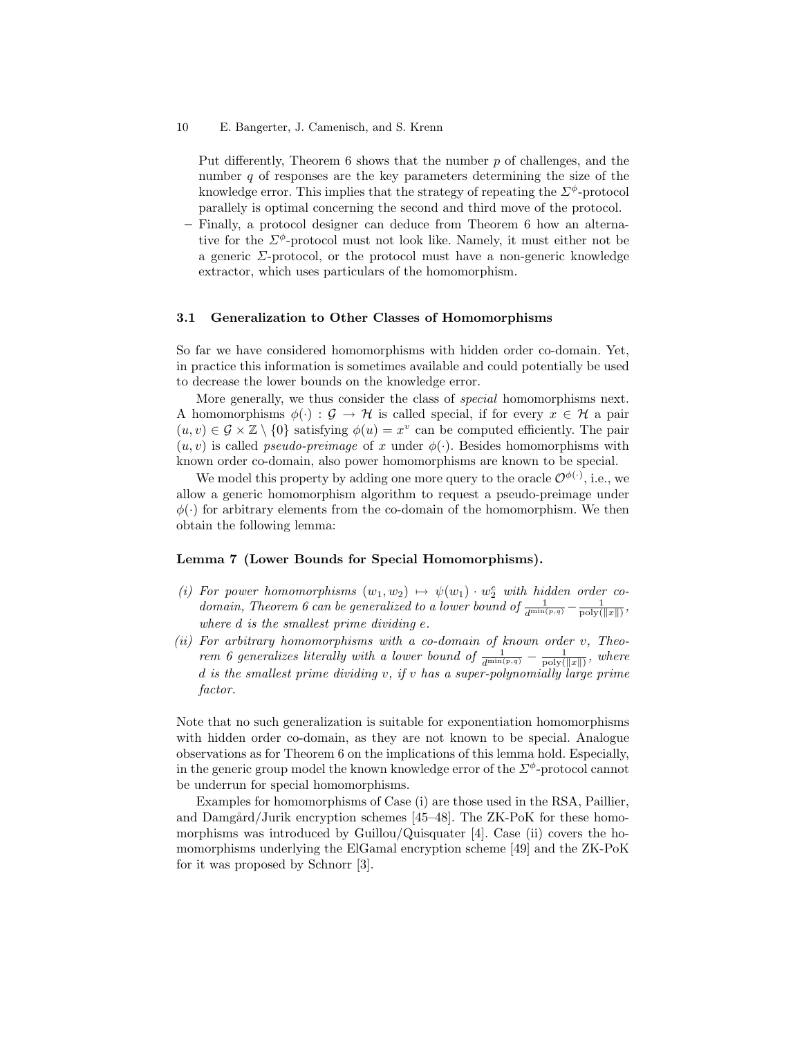Put differently, Theorem  $6$  shows that the number  $p$  of challenges, and the number q of responses are the key parameters determining the size of the knowledge error. This implies that the strategy of repeating the  $\Sigma^{\phi}$ -protocol parallely is optimal concerning the second and third move of the protocol.

– Finally, a protocol designer can deduce from Theorem 6 how an alternative for the  $\Sigma^{\phi}$ -protocol must not look like. Namely, it must either not be a generic  $\Sigma$ -protocol, or the protocol must have a non-generic knowledge extractor, which uses particulars of the homomorphism.

#### 3.1 Generalization to Other Classes of Homomorphisms

So far we have considered homomorphisms with hidden order co-domain. Yet, in practice this information is sometimes available and could potentially be used to decrease the lower bounds on the knowledge error.

More generally, we thus consider the class of special homomorphisms next. A homomorphisms  $\phi(\cdot) : \mathcal{G} \to \mathcal{H}$  is called special, if for every  $x \in \mathcal{H}$  a pair  $(u, v) \in \mathcal{G} \times \mathbb{Z} \setminus \{0\}$  satisfying  $\phi(u) = x^v$  can be computed efficiently. The pair  $(u, v)$  is called *pseudo-preimage* of x under  $\phi(\cdot)$ . Besides homomorphisms with known order co-domain, also power homomorphisms are known to be special.

We model this property by adding one more query to the oracle  $\mathcal{O}^{\phi(\cdot)}$ , i.e., we allow a generic homomorphism algorithm to request a pseudo-preimage under  $\phi(\cdot)$  for arbitrary elements from the co-domain of the homomorphism. We then obtain the following lemma:

#### Lemma 7 (Lower Bounds for Special Homomorphisms).

- (i) For power homomorphisms  $(w_1, w_2) \rightarrow \psi(w_1) \cdot w_2^e$  with hidden order co*domain, Theorem 6 can be generalized to a lower bound of*  $\frac{1}{d^{\min(p,q)}} - \frac{1}{\text{poly}(\Vert x \Vert)}$ , where d is the smallest prime dividing e.
- (ii) For arbitrary homomorphisms with a co-domain of known order  $v$ , Theorem 6 generalizes literally with a lower bound of  $\frac{1}{d^{\min(p,q)}} - \frac{1}{\text{poly}(\Vert x \Vert)}$ , where d is the smallest prime dividing  $v$ , if  $v$  has a super-polynomially large prime factor.

Note that no such generalization is suitable for exponentiation homomorphisms with hidden order co-domain, as they are not known to be special. Analogue observations as for Theorem 6 on the implications of this lemma hold. Especially, in the generic group model the known knowledge error of the  $\Sigma^{\phi}$ -protocol cannot be underrun for special homomorphisms.

Examples for homomorphisms of Case (i) are those used in the RSA, Paillier, and Damgård/Jurik encryption schemes  $[45-48]$ . The ZK-PoK for these homomorphisms was introduced by Guillou/Quisquater  $[4]$ . Case (ii) covers the homomorphisms underlying the ElGamal encryption scheme [49] and the ZK-PoK for it was proposed by Schnorr [3].

<sup>10</sup> E. Bangerter, J. Camenisch, and S. Krenn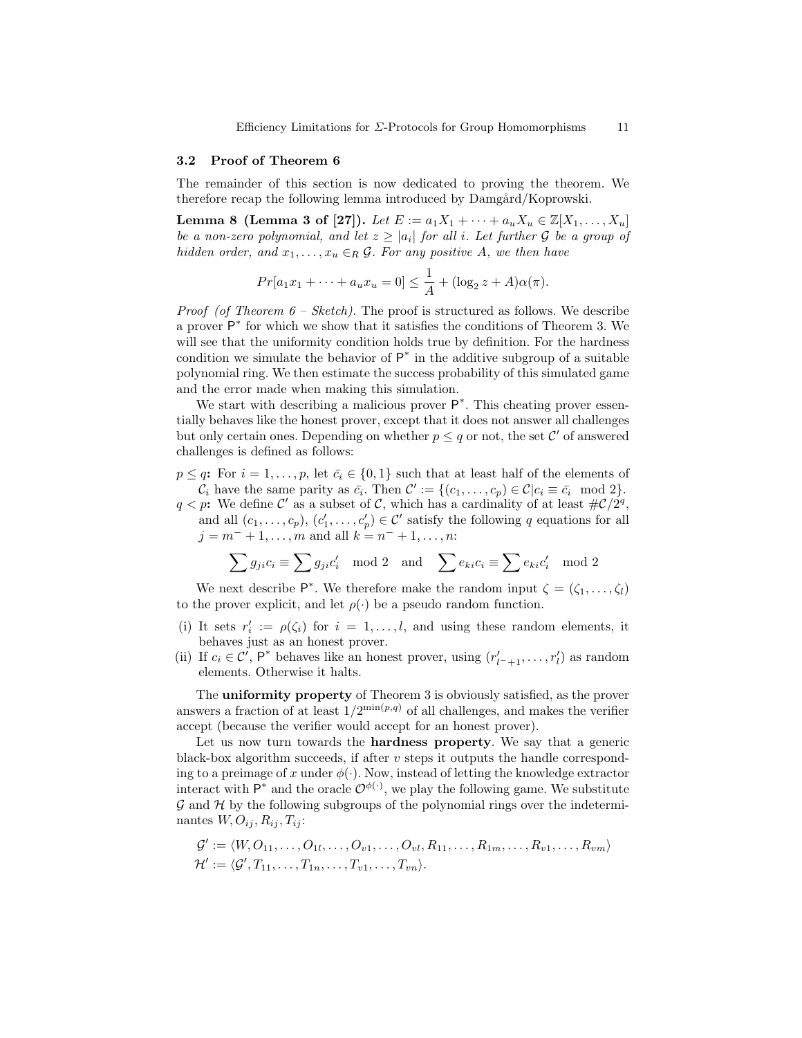#### 3.2 Proof of Theorem 6

The remainder of this section is now dedicated to proving the theorem. We therefore recap the following lemma introduced by Damgård/Koprowski.

Lemma 8 (Lemma 3 of [27]). Let  $E := a_1 X_1 + \cdots + a_u X_u \in \mathbb{Z}[X_1, \ldots, X_u]$ be a non-zero polynomial, and let  $z \geq |a_i|$  for all i. Let further  $\mathcal G$  be a group of hidden order, and  $x_1, \ldots, x_u \in_R \mathcal{G}$ . For any positive A, we then have

$$
Pr[a_1x_1 + \dots + a_ux_u = 0] \le \frac{1}{A} + (\log_2 z + A)\alpha(\pi).
$$

*Proof (of Theorem*  $6 - Sketch$ *)*. The proof is structured as follows. We describe a prover  $\mathsf{P}^*$  for which we show that it satisfies the conditions of Theorem 3. We will see that the uniformity condition holds true by definition. For the hardness condition we simulate the behavior of  $P^*$  in the additive subgroup of a suitable polynomial ring. We then estimate the success probability of this simulated game and the error made when making this simulation.

We start with describing a malicious prover  $P^*$ . This cheating prover essentially behaves like the honest prover, except that it does not answer all challenges but only certain ones. Depending on whether  $p \leq q$  or not, the set C' of answered challenges is defined as follows:

 $p \leq q$ : For  $i = 1, \ldots, p$ , let  $\bar{c}_i \in \{0, 1\}$  such that at least half of the elements of  $\mathcal{C}_i$  have the same parity as  $\bar{c}_i$ . Then  $\mathcal{C}' := \{ (c_1, \ldots, c_p) \in \mathcal{C} | c_i \equiv \bar{c}_i \mod 2 \}.$  $q < p$ : We define C' as a subset of C, which has a cardinality of at least  $\#\mathcal{C}/2^q$ , and all  $(c_1, \ldots, c_p)$ ,  $(c'_1, \ldots, c'_p) \in \mathcal{C}'$  satisfy the following q equations for all  $j = m^- + 1, \ldots, m$  and all  $k = n^- + 1, \ldots, n$ :

$$
\sum g_{ji}c_i \equiv \sum g_{ji}c'_i \mod 2 \text{ and } \sum e_{ki}c_i \equiv \sum e_{ki}c'_i \mod 2
$$

We next describe  $\mathsf{P}^*$ . We therefore make the random input  $\zeta = (\zeta_1, \ldots, \zeta_l)$ to the prover explicit, and let  $\rho(\cdot)$  be a pseudo random function.

- (i) It sets  $r'_i := \rho(\zeta_i)$  for  $i = 1, ..., l$ , and using these random elements, it behaves just as an honest prover.
- (ii) If  $c_i \in \mathcal{C}'$ ,  $\mathsf{P}^*$  behaves like an honest prover, using  $(r'_{l^-+1}, \ldots, r'_l)$  as random elements. Otherwise it halts.

The uniformity property of Theorem 3 is obviously satisfied, as the prover answers a fraction of at least  $1/2^{\min(p,q)}$  of all challenges, and makes the verifier accept (because the verifier would accept for an honest prover).

Let us now turn towards the hardness property. We say that a generic black-box algorithm succeeds, if after  $v$  steps it outputs the handle corresponding to a preimage of x under  $\phi(\cdot)$ . Now, instead of letting the knowledge extractor interact with  $P^*$  and the oracle  $\mathcal{O}^{p(\cdot)}$ , we play the following game. We substitute  $\mathcal G$  and  $\mathcal H$  by the following subgroups of the polynomial rings over the indeterminantes  $W, O_{ij}, R_{ij}, T_{ij}$ :

$$
\mathcal{G}' := \langle W, O_{11}, \ldots, O_{1l}, \ldots, O_{v1}, \ldots, O_{vl}, R_{11}, \ldots, R_{1m}, \ldots, R_{v1}, \ldots, R_{vm} \rangle
$$
  

$$
\mathcal{H}' := \langle \mathcal{G}', T_{11}, \ldots, T_{1n}, \ldots, T_{v1}, \ldots, T_{vn} \rangle.
$$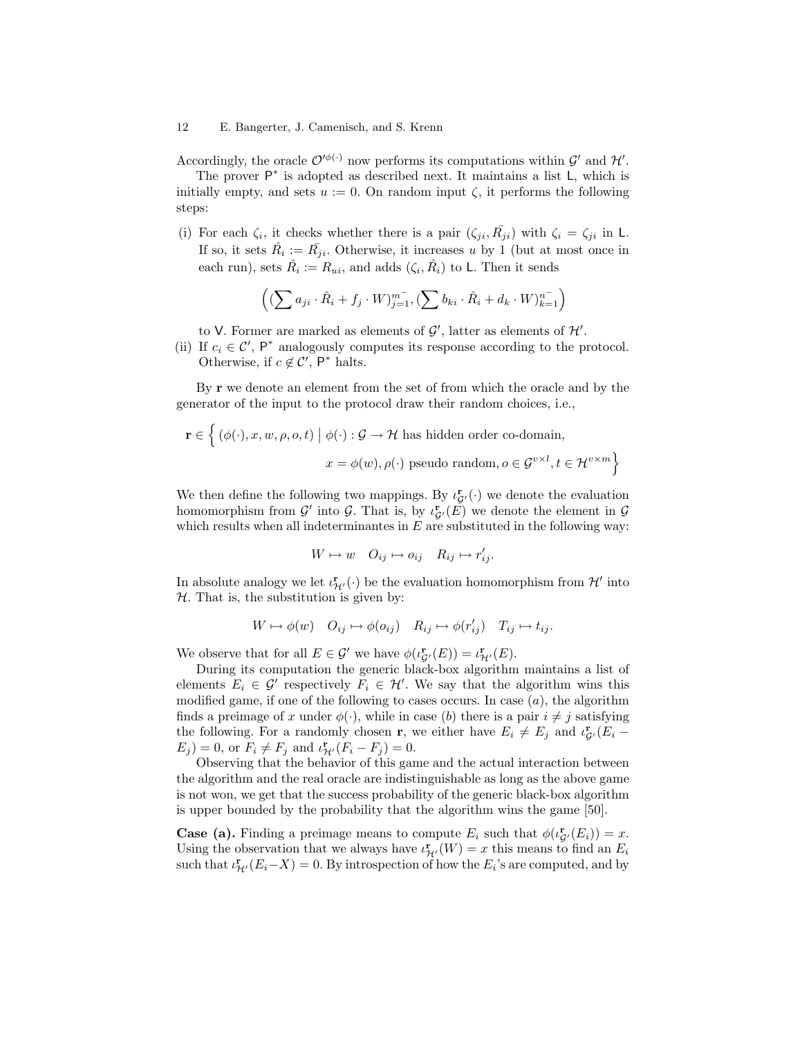#### 12 E. Bangerter, J. Camenisch, and S. Krenn

Accordingly, the oracle  $\mathcal{O}^{\prime\phi(\cdot)}$  now performs its computations within  $\mathcal{G}'$  and  $\mathcal{H}'$ .

The prover  $P^*$  is adopted as described next. It maintains a list  $L$ , which is initially empty, and sets  $u := 0$ . On random input  $\zeta$ , it performs the following steps:

(i) For each  $\zeta_i$ , it checks whether there is a pair  $(\zeta_{ji}, \overline{R}_{ji})$  with  $\zeta_i = \zeta_{ji}$  in L. If so, it sets  $\hat{R}_i := \overline{R}_{ji}$ . Otherwise, it increases u by 1 (but at most once in each run), sets  $\hat{R}_i := R_{ui}$ , and adds  $(\zeta_i, \hat{R}_i)$  to L. Then it sends

$$
\left( (\sum a_{ji} \cdot \hat{R}_i + f_j \cdot W)_{j=1}^{m^-}, (\sum b_{ki} \cdot \hat{R}_i + d_k \cdot W)_{k=1}^{n^-} \right)
$$

to V. Former are marked as elements of  $\mathcal{G}'$ , latter as elements of  $\mathcal{H}'$ .

(ii) If  $c_i \in \mathcal{C}'$ , P<sup>\*</sup> analogously computes its response according to the protocol. Otherwise, if  $c \notin \mathcal{C}'$ ,  $\mathsf{P}^*$  halts.

By **r** we denote an element from the set of from which the oracle and by the generator of the input to the protocol draw their random choices, i.e.,

$$
\mathbf{r} \in \left\{ (\phi(\cdot), x, w, \rho, o, t) \mid \phi(\cdot) : \mathcal{G} \to \mathcal{H} \text{ has hidden order co-domain}, \right.
$$

$$
x = \phi(w), \rho(\cdot) \text{ pseudo random}, o \in \mathcal{G}^{v \times l}, t \in \mathcal{H}^{v \times m} \right\}
$$

We then define the following two mappings. By  $\iota_{\mathcal{G}'}^{\mathbf{r}}(\cdot)$  we denote the evaluation homomorphism from  $\mathcal{G}'$  into  $\mathcal{G}$ . That is, by  $\iota_{\mathcal{G}'}^{\mathbf{r}}(\tilde{E})$  we denote the element in  $\mathcal{G}$ which results when all indeterminantes in  $E$  are substituted in the following way:

$$
W \mapsto w \quad O_{ij} \mapsto o_{ij} \quad R_{ij} \mapsto r'_{ij}.
$$

In absolute analogy we let  $\iota_{\mathcal{H}'}^{\mathbf{r}}(\cdot)$  be the evaluation homomorphism from  $\mathcal{H}'$  into  $H$ . That is, the substitution is given by:

$$
W \mapsto \phi(w) \quad O_{ij} \mapsto \phi(o_{ij}) \quad R_{ij} \mapsto \phi(r'_{ij}) \quad T_{ij} \mapsto t_{ij}.
$$

We observe that for all  $E \in \mathcal{G}'$  we have  $\phi(\iota_{\mathcal{G}'}^{\mathbf{r}}(E)) = \iota_{\mathcal{H}'}^{\mathbf{r}}(E)$ .

During its computation the generic black-box algorithm maintains a list of elements  $E_i \in \mathcal{G}'$  respectively  $F_i \in \mathcal{H}'$ . We say that the algorithm wins this modified game, if one of the following to cases occurs. In case  $(a)$ , the algorithm finds a preimage of x under  $\phi(\cdot)$ , while in case (b) there is a pair  $i \neq j$  satisfying the following. For a randomly chosen **r**, we either have  $E_i \neq E_j$  and  $\iota_{\mathcal{G}}^{\mathbf{r}}(E_i E_j$ ) = 0, or  $F_i \neq F_j$  and  $\iota^{\mathbf{r}}_{\mathcal{H}'}(F_i - F_j) = 0$ .

Observing that the behavior of this game and the actual interaction between the algorithm and the real oracle are indistinguishable as long as the above game is not won, we get that the success probability of the generic black-box algorithm is upper bounded by the probability that the algorithm wins the game [50].

**Case (a).** Finding a preimage means to compute  $E_i$  such that  $\phi(\iota_{\mathcal{G}}^{\mathbf{r}}(E_i)) = x$ . Using the observation that we always have  $\iota_{\mathcal{H}'}^{\mathbf{r}}(W) = x$  this means to find an  $E_i$ such that  $\iota^{\mathbf{r}}_{\mathcal{H}'}(E_i - X) = 0$ . By introspection of how the  $E_i$ 's are computed, and by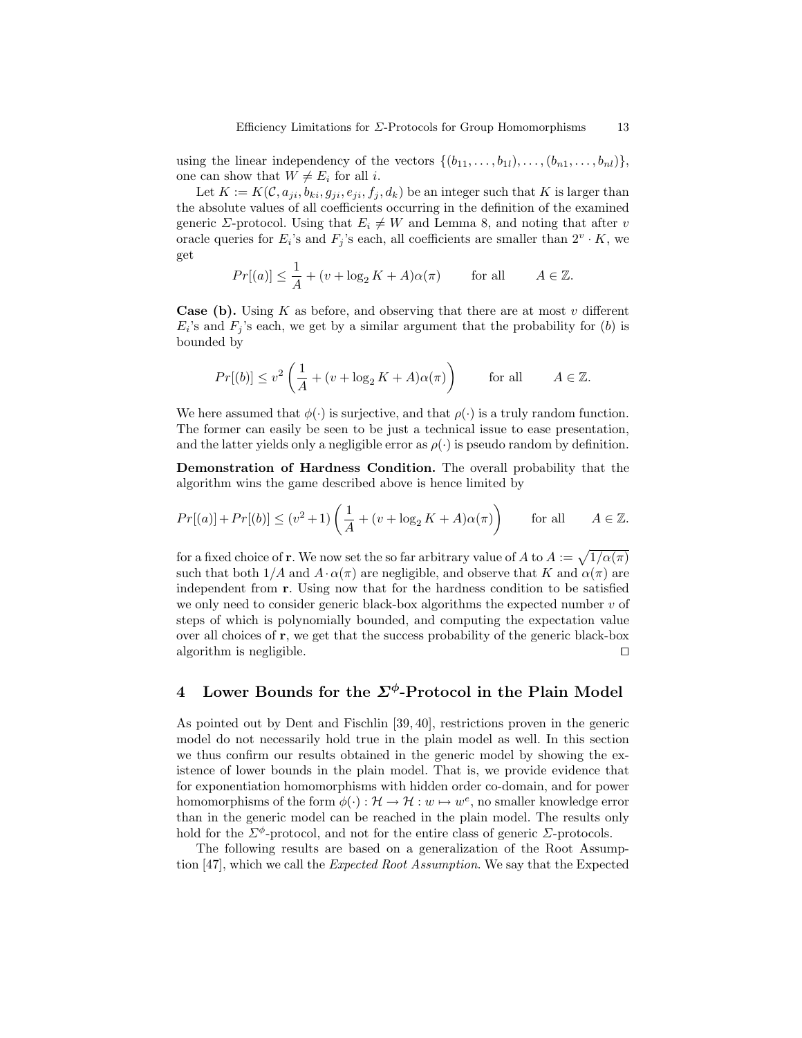using the linear independency of the vectors  $\{(b_{11}, \ldots, b_{1l}), \ldots, (b_{n1}, \ldots, b_{nl})\},\$ one can show that  $W \neq E_i$  for all i.

Let  $K := K(\mathcal{C}, a_{ji}, b_{ki}, g_{ji}, e_{ji}, f_j, d_k)$  be an integer such that K is larger than the absolute values of all coefficients occurring in the definition of the examined generic *Σ*-protocol. Using that  $E_i \neq W$  and Lemma 8, and noting that after v oracle queries for  $E_i$ 's and  $F_j$ 's each, all coefficients are smaller than  $2^v \cdot K$ , we get

$$
Pr[(a)] \le \frac{1}{A} + (v + \log_2 K + A)\alpha(\pi) \quad \text{for all} \quad A \in \mathbb{Z}.
$$

**Case (b).** Using K as before, and observing that there are at most v different  $E_i$ 's and  $F_j$ 's each, we get by a similar argument that the probability for (b) is bounded by

$$
Pr[(b)] \le v^2 \left(\frac{1}{A} + (v + \log_2 K + A)\alpha(\pi)\right) \quad \text{for all} \quad A \in \mathbb{Z}.
$$

We here assumed that  $\phi(\cdot)$  is surjective, and that  $\rho(\cdot)$  is a truly random function. The former can easily be seen to be just a technical issue to ease presentation, and the latter yields only a negligible error as  $\rho(\cdot)$  is pseudo random by definition.

Demonstration of Hardness Condition. The overall probability that the algorithm wins the game described above is hence limited by

$$
Pr[(a)] + Pr[(b)] \le (v^2 + 1) \left(\frac{1}{A} + (v + \log_2 K + A)\alpha(\pi)\right) \quad \text{for all} \quad A \in \mathbb{Z}.
$$

for a fixed choice of **r**. We now set the so far arbitrary value of A to  $A := \sqrt{1/\alpha(\pi)}$ such that both  $1/A$  and  $A \cdot \alpha(\pi)$  are negligible, and observe that K and  $\alpha(\pi)$  are independent from r. Using now that for the hardness condition to be satisfied we only need to consider generic black-box algorithms the expected number  $v$  of steps of which is polynomially bounded, and computing the expectation value over all choices of  $r$ , we get that the success probability of the generic black-box algorithm is negligible.  $\Box$ 

# 4 Lower Bounds for the  $\Sigma^{\phi}$ -Protocol in the Plain Model

As pointed out by Dent and Fischlin [39, 40], restrictions proven in the generic model do not necessarily hold true in the plain model as well. In this section we thus confirm our results obtained in the generic model by showing the existence of lower bounds in the plain model. That is, we provide evidence that for exponentiation homomorphisms with hidden order co-domain, and for power homomorphisms of the form  $\phi(\cdot): \mathcal{H} \to \mathcal{H}: w \mapsto w^e$ , no smaller knowledge error than in the generic model can be reached in the plain model. The results only hold for the  $\Sigma^{\phi}$ -protocol, and not for the entire class of generic  $\Sigma$ -protocols.

The following results are based on a generalization of the Root Assumption [47], which we call the Expected Root Assumption. We say that the Expected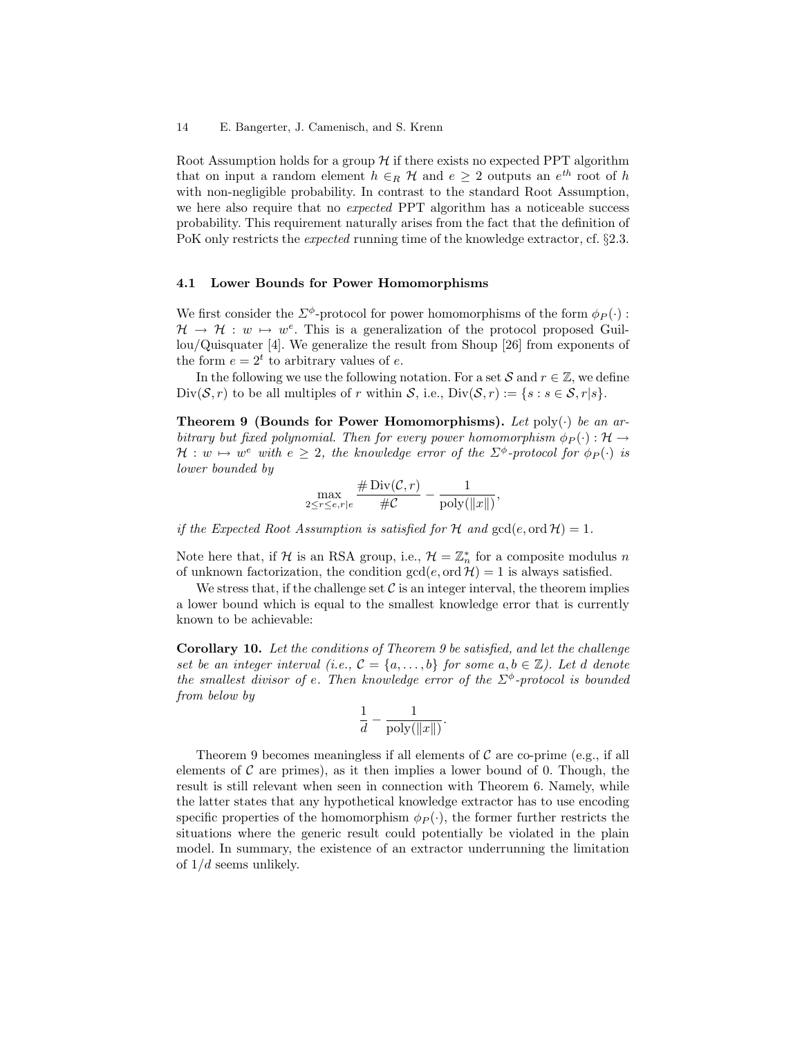Root Assumption holds for a group  $H$  if there exists no expected PPT algorithm that on input a random element  $h \in_R \mathcal{H}$  and  $e \geq 2$  outputs an  $e^{th}$  root of h with non-negligible probability. In contrast to the standard Root Assumption, we here also require that no *expected* PPT algorithm has a noticeable success probability. This requirement naturally arises from the fact that the definition of PoK only restricts the expected running time of the knowledge extractor, cf. §2.3.

#### 4.1 Lower Bounds for Power Homomorphisms

We first consider the  $\Sigma^{\phi}$ -protocol for power homomorphisms of the form  $\phi_P(\cdot)$ :  $\mathcal{H} \to \mathcal{H} : w \mapsto w^e$ . This is a generalization of the protocol proposed Guillou/Quisquater [4]. We generalize the result from Shoup [26] from exponents of the form  $e = 2^t$  to arbitrary values of e.

In the following we use the following notation. For a set S and  $r \in \mathbb{Z}$ , we define  $Div(\mathcal{S}, r)$  to be all multiples of r within  $\mathcal{S}$ , i.e.,  $Div(\mathcal{S}, r) := \{s : s \in \mathcal{S}, r | s\}.$ 

**Theorem 9 (Bounds for Power Homomorphisms).** Let poly( $\cdot$ ) be an arbitrary but fixed polynomial. Then for every power homomorphism  $\phi_P(\cdot) : \mathcal{H} \to$  $\mathcal{H}: w \mapsto w^e$  with  $e \geq 2$ , the knowledge error of the  $\Sigma^{\phi}$ -protocol for  $\phi_P(\cdot)$  is lower bounded by

$$
\max_{2\leq r\leq e,r\mid e}\frac{\#\operatorname{Div}({\mathcal C},r)}{\#\mathcal C}-\frac{1}{\operatorname{poly}(\|x\|)},
$$

if the Expected Root Assumption is satisfied for H and  $gcd(e, ord H) = 1$ .

Note here that, if H is an RSA group, i.e.,  $\mathcal{H} = \mathbb{Z}_n^*$  for a composite modulus n of unknown factorization, the condition  $gcd(e, ord \mathcal{H}) = 1$  is always satisfied.

We stress that, if the challenge set  $\mathcal C$  is an integer interval, the theorem implies a lower bound which is equal to the smallest knowledge error that is currently known to be achievable:

Corollary 10. Let the conditions of Theorem 9 be satisfied, and let the challenge set be an integer interval (i.e.,  $\mathcal{C} = \{a, \ldots, b\}$  for some  $a, b \in \mathbb{Z}$ ). Let d denote the smallest divisor of e. Then knowledge error of the  $\Sigma^{\phi}$ -protocol is bounded from below by

$$
\frac{1}{d} - \frac{1}{\text{poly}(\|x\|)}.
$$

Theorem 9 becomes meaningless if all elements of  $\mathcal C$  are co-prime (e.g., if all elements of  $\mathcal C$  are primes), as it then implies a lower bound of 0. Though, the result is still relevant when seen in connection with Theorem 6. Namely, while the latter states that any hypothetical knowledge extractor has to use encoding specific properties of the homomorphism  $\phi_P(\cdot)$ , the former further restricts the situations where the generic result could potentially be violated in the plain model. In summary, the existence of an extractor underrunning the limitation of  $1/d$  seems unlikely.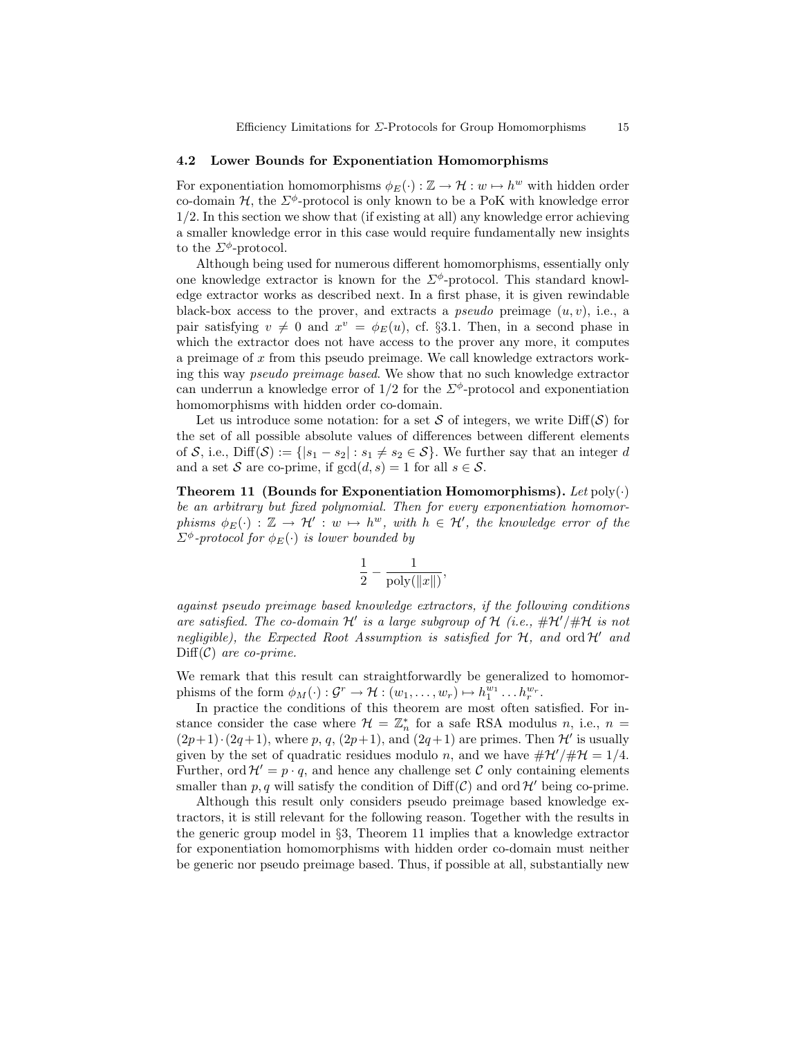#### 4.2 Lower Bounds for Exponentiation Homomorphisms

For exponentiation homomorphisms  $\phi_E(\cdot) : \mathbb{Z} \to \mathcal{H} : w \mapsto h^w$  with hidden order co-domain  $H$ , the  $\Sigma^{\phi}$ -protocol is only known to be a PoK with knowledge error 1/2. In this section we show that (if existing at all) any knowledge error achieving a smaller knowledge error in this case would require fundamentally new insights to the  $\Sigma^{\phi}$ -protocol.

Although being used for numerous different homomorphisms, essentially only one knowledge extractor is known for the  $\Sigma^{\phi}$ -protocol. This standard knowledge extractor works as described next. In a first phase, it is given rewindable black-box access to the prover, and extracts a *pseudo* preimage  $(u, v)$ , i.e., a pair satisfying  $v \neq 0$  and  $x^v = \phi_E(u)$ , cf. §3.1. Then, in a second phase in which the extractor does not have access to the prover any more, it computes a preimage of  $x$  from this pseudo preimage. We call knowledge extractors working this way pseudo preimage based. We show that no such knowledge extractor can underrun a knowledge error of  $1/2$  for the  $\Sigma^{\phi}$ -protocol and exponentiation homomorphisms with hidden order co-domain.

Let us introduce some notation: for a set S of integers, we write  $\text{Diff}(\mathcal{S})$  for the set of all possible absolute values of differences between different elements of S, i.e., Diff(S) := { $|s_1 - s_2| : s_1 \neq s_2 \in S$ }. We further say that an integer d and a set S are co-prime, if  $gcd(d, s) = 1$  for all  $s \in S$ .

Theorem 11 (Bounds for Exponentiation Homomorphisms). Let  $poly(\cdot)$ be an arbitrary but fixed polynomial. Then for every exponentiation homomorphisms  $\phi_E(\cdot) : \mathbb{Z} \to \mathcal{H}' : w \mapsto h^w$ , with  $h \in \mathcal{H}'$ , the knowledge error of the  $\Sigma^{\phi}$ -protocol for  $\phi_E(\cdot)$  is lower bounded by

$$
\frac{1}{2}-\frac{1}{\mathrm{poly}(\|x\|)},
$$

against pseudo preimage based knowledge extractors, if the following conditions are satisfied. The co-domain  $\mathcal{H}'$  is a large subgroup of  $\mathcal{H}$  (i.e.,  $\#\mathcal{H}'/\#\mathcal{H}$  is not negligible), the Expected Root Assumption is satisfied for  $H$ , and ord  $H'$  and  $\text{Diff}(\mathcal{C})$  are co-prime.

We remark that this result can straightforwardly be generalized to homomorphisms of the form  $\phi_M(\cdot) : \mathcal{G}^r \to \mathcal{H} : (w_1, \ldots, w_r) \mapsto h_1^{\bar{w}_1} \ldots h_r^{\bar{w}_r}$ .

In practice the conditions of this theorem are most often satisfied. For instance consider the case where  $\mathcal{H} = \mathbb{Z}_n^*$  for a safe RSA modulus n, i.e.,  $n =$  $(2p+1)\cdot(2q+1)$ , where p, q,  $(2p+1)$ , and  $(2q+1)$  are primes. Then H' is usually given by the set of quadratic residues modulo n, and we have  $\#\mathcal{H}'/\#\mathcal{H} = 1/4$ . Further, ord  $\mathcal{H}' = p \cdot q$ , and hence any challenge set C only containing elements smaller than p, q will satisfy the condition of  $\text{Diff}(\mathcal{C})$  and ord H' being co-prime.

Although this result only considers pseudo preimage based knowledge extractors, it is still relevant for the following reason. Together with the results in the generic group model in §3, Theorem 11 implies that a knowledge extractor for exponentiation homomorphisms with hidden order co-domain must neither be generic nor pseudo preimage based. Thus, if possible at all, substantially new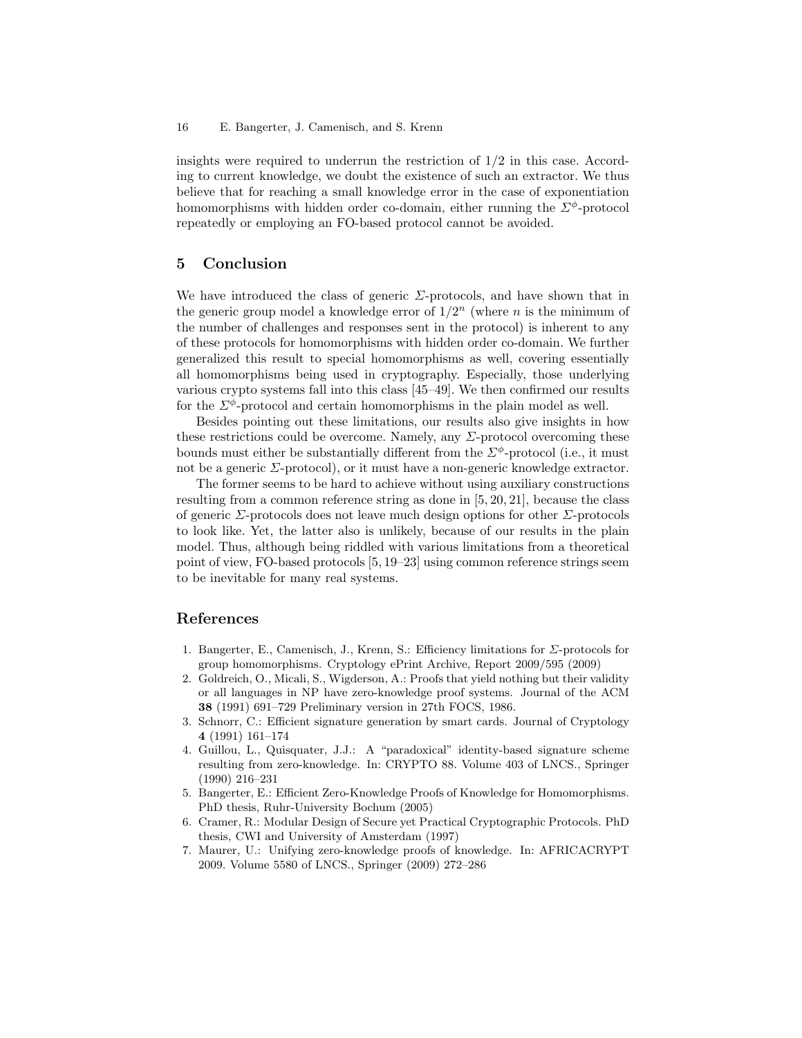insights were required to underrun the restriction of 1/2 in this case. According to current knowledge, we doubt the existence of such an extractor. We thus believe that for reaching a small knowledge error in the case of exponentiation homomorphisms with hidden order co-domain, either running the  $\Sigma^{\phi}$ -protocol repeatedly or employing an FO-based protocol cannot be avoided.

## 5 Conclusion

We have introduced the class of generic  $\Sigma$ -protocols, and have shown that in the generic group model a knowledge error of  $1/2^n$  (where n is the minimum of the number of challenges and responses sent in the protocol) is inherent to any of these protocols for homomorphisms with hidden order co-domain. We further generalized this result to special homomorphisms as well, covering essentially all homomorphisms being used in cryptography. Especially, those underlying various crypto systems fall into this class [45–49]. We then confirmed our results for the  $\Sigma^{\phi}$ -protocol and certain homomorphisms in the plain model as well.

Besides pointing out these limitations, our results also give insights in how these restrictions could be overcome. Namely, any  $\Sigma$ -protocol overcoming these bounds must either be substantially different from the  $\Sigma^{\phi}$ -protocol (i.e., it must not be a generic  $\Sigma$ -protocol), or it must have a non-generic knowledge extractor.

The former seems to be hard to achieve without using auxiliary constructions resulting from a common reference string as done in [5, 20, 21], because the class of generic  $\Sigma$ -protocols does not leave much design options for other  $\Sigma$ -protocols to look like. Yet, the latter also is unlikely, because of our results in the plain model. Thus, although being riddled with various limitations from a theoretical point of view, FO-based protocols [5, 19–23] using common reference strings seem to be inevitable for many real systems.

# References

- 1. Bangerter, E., Camenisch, J., Krenn, S.: Efficiency limitations for  $\Sigma$ -protocols for group homomorphisms. Cryptology ePrint Archive, Report 2009/595 (2009)
- 2. Goldreich, O., Micali, S., Wigderson, A.: Proofs that yield nothing but their validity or all languages in NP have zero-knowledge proof systems. Journal of the ACM 38 (1991) 691–729 Preliminary version in 27th FOCS, 1986.
- 3. Schnorr, C.: Efficient signature generation by smart cards. Journal of Cryptology 4 (1991) 161–174
- 4. Guillou, L., Quisquater, J.J.: A "paradoxical" identity-based signature scheme resulting from zero-knowledge. In: CRYPTO 88. Volume 403 of LNCS., Springer (1990) 216–231
- 5. Bangerter, E.: Efficient Zero-Knowledge Proofs of Knowledge for Homomorphisms. PhD thesis, Ruhr-University Bochum (2005)
- 6. Cramer, R.: Modular Design of Secure yet Practical Cryptographic Protocols. PhD thesis, CWI and University of Amsterdam (1997)
- 7. Maurer, U.: Unifying zero-knowledge proofs of knowledge. In: AFRICACRYPT 2009. Volume 5580 of LNCS., Springer (2009) 272–286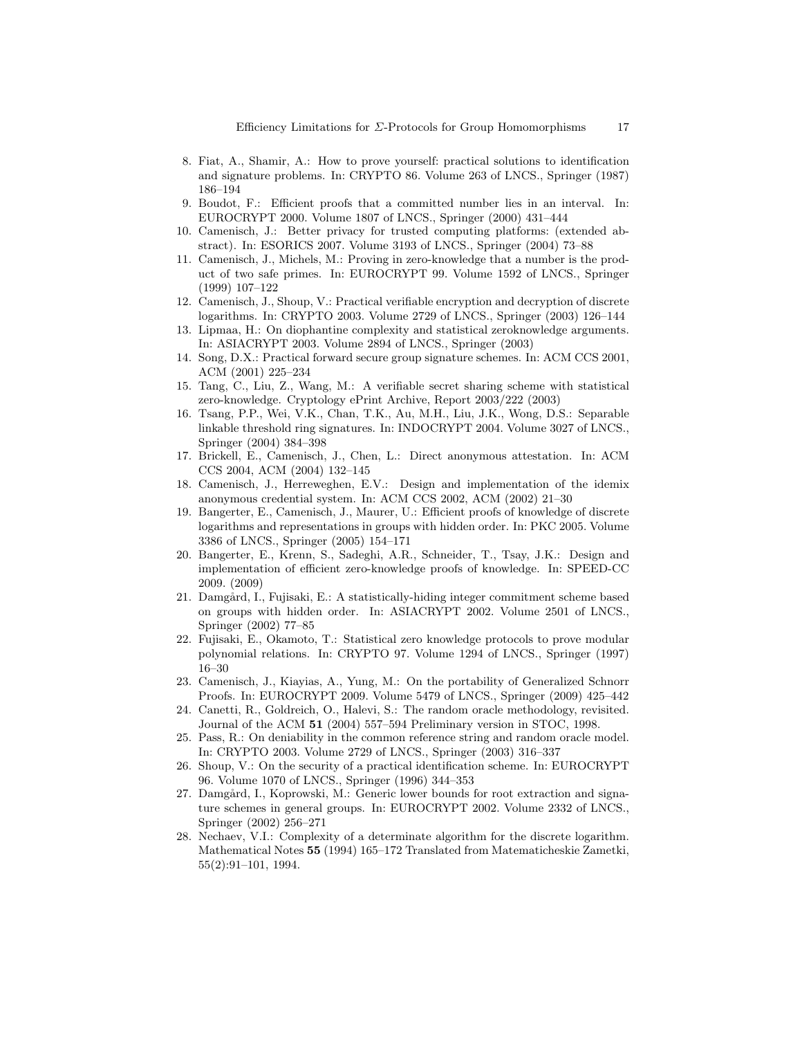- 8. Fiat, A., Shamir, A.: How to prove yourself: practical solutions to identification and signature problems. In: CRYPTO 86. Volume 263 of LNCS., Springer (1987) 186–194
- 9. Boudot, F.: Efficient proofs that a committed number lies in an interval. In: EUROCRYPT 2000. Volume 1807 of LNCS., Springer (2000) 431–444
- 10. Camenisch, J.: Better privacy for trusted computing platforms: (extended abstract). In: ESORICS 2007. Volume 3193 of LNCS., Springer (2004) 73–88
- 11. Camenisch, J., Michels, M.: Proving in zero-knowledge that a number is the product of two safe primes. In: EUROCRYPT 99. Volume 1592 of LNCS., Springer (1999) 107–122
- 12. Camenisch, J., Shoup, V.: Practical verifiable encryption and decryption of discrete logarithms. In: CRYPTO 2003. Volume 2729 of LNCS., Springer (2003) 126–144
- 13. Lipmaa, H.: On diophantine complexity and statistical zeroknowledge arguments. In: ASIACRYPT 2003. Volume 2894 of LNCS., Springer (2003)
- 14. Song, D.X.: Practical forward secure group signature schemes. In: ACM CCS 2001, ACM (2001) 225–234
- 15. Tang, C., Liu, Z., Wang, M.: A verifiable secret sharing scheme with statistical zero-knowledge. Cryptology ePrint Archive, Report 2003/222 (2003)
- 16. Tsang, P.P., Wei, V.K., Chan, T.K., Au, M.H., Liu, J.K., Wong, D.S.: Separable linkable threshold ring signatures. In: INDOCRYPT 2004. Volume 3027 of LNCS., Springer (2004) 384–398
- 17. Brickell, E., Camenisch, J., Chen, L.: Direct anonymous attestation. In: ACM CCS 2004, ACM (2004) 132–145
- 18. Camenisch, J., Herreweghen, E.V.: Design and implementation of the idemix anonymous credential system. In: ACM CCS 2002, ACM (2002) 21–30
- 19. Bangerter, E., Camenisch, J., Maurer, U.: Efficient proofs of knowledge of discrete logarithms and representations in groups with hidden order. In: PKC 2005. Volume 3386 of LNCS., Springer (2005) 154–171
- 20. Bangerter, E., Krenn, S., Sadeghi, A.R., Schneider, T., Tsay, J.K.: Design and implementation of efficient zero-knowledge proofs of knowledge. In: SPEED-CC 2009. (2009)
- 21. Damgård, I., Fujisaki, E.: A statistically-hiding integer commitment scheme based on groups with hidden order. In: ASIACRYPT 2002. Volume 2501 of LNCS., Springer (2002) 77–85
- 22. Fujisaki, E., Okamoto, T.: Statistical zero knowledge protocols to prove modular polynomial relations. In: CRYPTO 97. Volume 1294 of LNCS., Springer (1997) 16–30
- 23. Camenisch, J., Kiayias, A., Yung, M.: On the portability of Generalized Schnorr Proofs. In: EUROCRYPT 2009. Volume 5479 of LNCS., Springer (2009) 425–442
- 24. Canetti, R., Goldreich, O., Halevi, S.: The random oracle methodology, revisited. Journal of the ACM 51 (2004) 557–594 Preliminary version in STOC, 1998.
- 25. Pass, R.: On deniability in the common reference string and random oracle model. In: CRYPTO 2003. Volume 2729 of LNCS., Springer (2003) 316–337
- 26. Shoup, V.: On the security of a practical identification scheme. In: EUROCRYPT 96. Volume 1070 of LNCS., Springer (1996) 344–353
- 27. Damgård, I., Koprowski, M.: Generic lower bounds for root extraction and signature schemes in general groups. In: EUROCRYPT 2002. Volume 2332 of LNCS., Springer (2002) 256–271
- 28. Nechaev, V.I.: Complexity of a determinate algorithm for the discrete logarithm. Mathematical Notes 55 (1994) 165–172 Translated from Matematicheskie Zametki, 55(2):91–101, 1994.